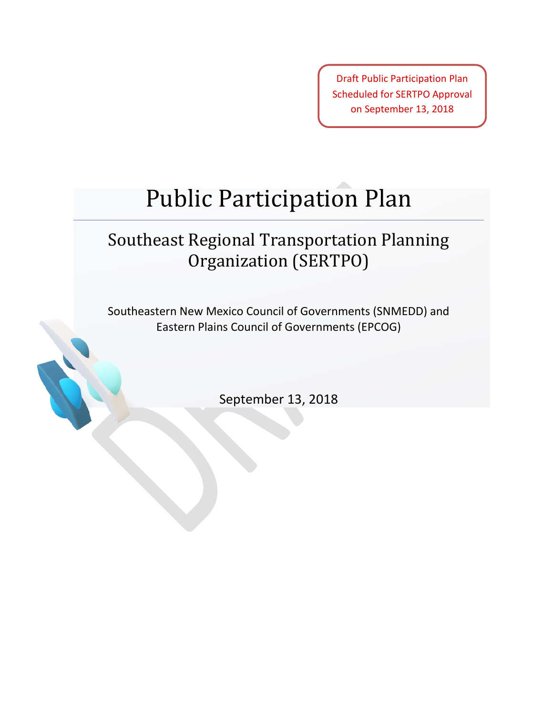Draft Public Participation Plan Scheduled for SERTPO Approval on September 13, 2018

# Public Participation Plan

## Southeast Regional Transportation Planning Organization (SERTPO)

Southeastern New Mexico Council of Governments (SNMEDD) and Eastern Plains Council of Governments (EPCOG)

September 13, 2018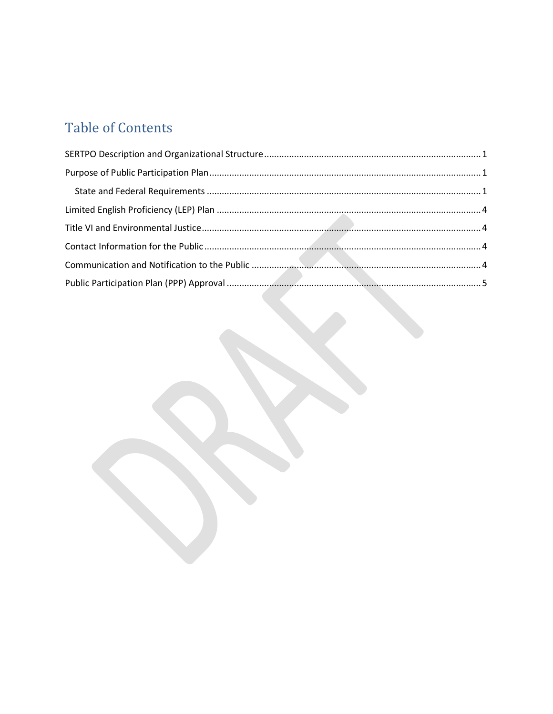## **Table of Contents**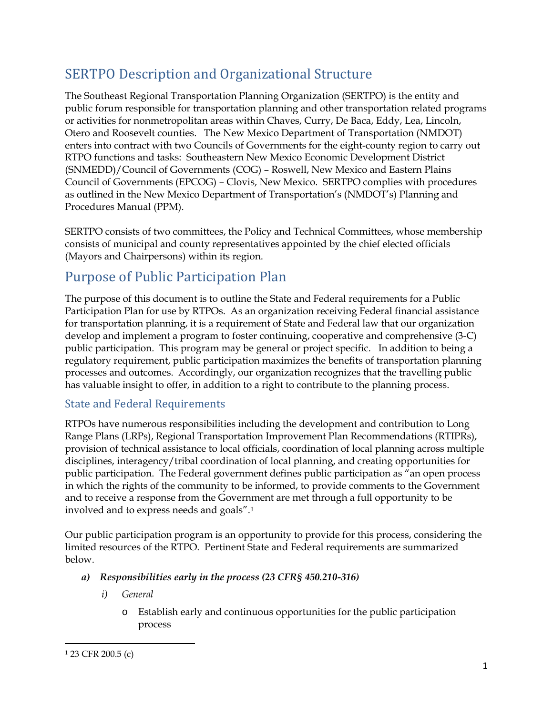### <span id="page-2-0"></span>SERTPO Description and Organizational Structure

The Southeast Regional Transportation Planning Organization (SERTPO) is the entity and public forum responsible for transportation planning and other transportation related programs or activities for nonmetropolitan areas within Chaves, Curry, De Baca, Eddy, Lea, Lincoln, Otero and Roosevelt counties. The New Mexico Department of Transportation (NMDOT) enters into contract with two Councils of Governments for the eight-county region to carry out RTPO functions and tasks: Southeastern New Mexico Economic Development District (SNMEDD)/Council of Governments (COG) – Roswell, New Mexico and Eastern Plains Council of Governments (EPCOG) – Clovis, New Mexico. SERTPO complies with procedures as outlined in the New Mexico Department of Transportation's (NMDOT's) Planning and Procedures Manual (PPM).

SERTPO consists of two committees, the Policy and Technical Committees, whose membership consists of municipal and county representatives appointed by the chief elected officials (Mayors and Chairpersons) within its region.

### <span id="page-2-1"></span>Purpose of Public Participation Plan

The purpose of this document is to outline the State and Federal requirements for a Public Participation Plan for use by RTPOs. As an organization receiving Federal financial assistance for transportation planning, it is a requirement of State and Federal law that our organization develop and implement a program to foster continuing, cooperative and comprehensive (3-C) public participation. This program may be general or project specific. In addition to being a regulatory requirement, public participation maximizes the benefits of transportation planning processes and outcomes. Accordingly, our organization recognizes that the travelling public has valuable insight to offer, in addition to a right to contribute to the planning process.

#### <span id="page-2-2"></span>State and Federal Requirements

RTPOs have numerous responsibilities including the development and contribution to Long Range Plans (LRPs), Regional Transportation Improvement Plan Recommendations (RTIPRs), provision of technical assistance to local officials, coordination of local planning across multiple disciplines, interagency/tribal coordination of local planning, and creating opportunities for public participation. The Federal government defines public participation as "an open process in which the rights of the community to be informed, to provide comments to the Government and to receive a response from the Government are met through a full opportunity to be involved and to express needs and goals".[1](#page-2-3)

Our public participation program is an opportunity to provide for this process, considering the limited resources of the RTPO. Pertinent State and Federal requirements are summarized below.

- *a) Responsibilities early in the process (23 CFR§ 450.210-316)*
	- *i) General*
		- o Establish early and continuous opportunities for the public participation process

 $\overline{\phantom{a}}$ 

<span id="page-2-3"></span><sup>1</sup> 23 CFR 200.5 (c)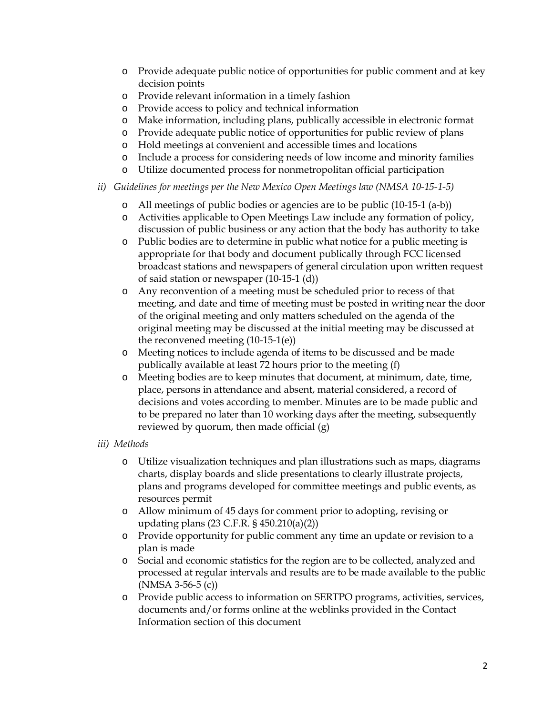- o Provide adequate public notice of opportunities for public comment and at key decision points
- o Provide relevant information in a timely fashion
- o Provide access to policy and technical information
- o Make information, including plans, publically accessible in electronic format
- o Provide adequate public notice of opportunities for public review of plans
- o Hold meetings at convenient and accessible times and locations
- o Include a process for considering needs of low income and minority families
- o Utilize documented process for nonmetropolitan official participation
- *ii) Guidelines for meetings per the New Mexico Open Meetings law (NMSA 10-15-1-5)*
	- o All meetings of public bodies or agencies are to be public (10-15-1 (a-b))
	- o Activities applicable to Open Meetings Law include any formation of policy, discussion of public business or any action that the body has authority to take
	- o Public bodies are to determine in public what notice for a public meeting is appropriate for that body and document publically through FCC licensed broadcast stations and newspapers of general circulation upon written request of said station or newspaper (10-15-1 (d))
	- o Any reconvention of a meeting must be scheduled prior to recess of that meeting, and date and time of meeting must be posted in writing near the door of the original meeting and only matters scheduled on the agenda of the original meeting may be discussed at the initial meeting may be discussed at the reconvened meeting (10-15-1(e))
	- o Meeting notices to include agenda of items to be discussed and be made publically available at least 72 hours prior to the meeting (f)
	- o Meeting bodies are to keep minutes that document, at minimum, date, time, place, persons in attendance and absent, material considered, a record of decisions and votes according to member. Minutes are to be made public and to be prepared no later than 10 working days after the meeting, subsequently reviewed by quorum, then made official (g)
- *iii) Methods*
	- o Utilize visualization techniques and plan illustrations such as maps, diagrams charts, display boards and slide presentations to clearly illustrate projects, plans and programs developed for committee meetings and public events, as resources permit
	- o Allow minimum of 45 days for comment prior to adopting, revising or updating plans (23 C.F.R. § 450.210(a)(2))
	- o Provide opportunity for public comment any time an update or revision to a plan is made
	- o Social and economic statistics for the region are to be collected, analyzed and processed at regular intervals and results are to be made available to the public (NMSA 3-56-5 (c))
	- o Provide public access to information on SERTPO programs, activities, services, documents and/or forms online at the weblinks provided in the Contact Information section of this document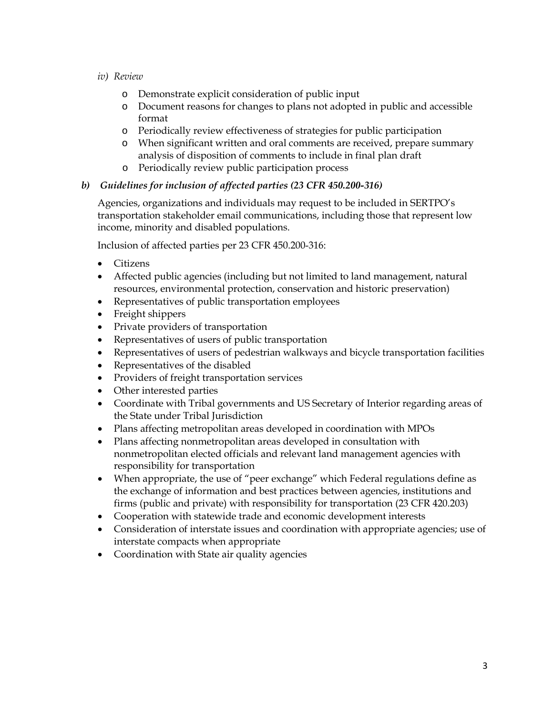- *iv) Review*
	- o Demonstrate explicit consideration of public input
	- o Document reasons for changes to plans not adopted in public and accessible format
	- o Periodically review effectiveness of strategies for public participation
	- o When significant written and oral comments are received, prepare summary analysis of disposition of comments to include in final plan draft
	- o Periodically review public participation process

#### *b) Guidelines for inclusion of affected parties (23 CFR 450.200-316)*

Agencies, organizations and individuals may request to be included in SERTPO's transportation stakeholder email communications, including those that represent low income, minority and disabled populations.

Inclusion of affected parties per 23 CFR 450.200-316:

- Citizens
- Affected public agencies (including but not limited to land management, natural resources, environmental protection, conservation and historic preservation)
- Representatives of public transportation employees
- Freight shippers
- Private providers of transportation
- Representatives of users of public transportation
- Representatives of users of pedestrian walkways and bicycle transportation facilities
- Representatives of the disabled
- Providers of freight transportation services
- Other interested parties
- Coordinate with Tribal governments and US Secretary of Interior regarding areas of the State under Tribal Jurisdiction
- Plans affecting metropolitan areas developed in coordination with MPOs
- Plans affecting nonmetropolitan areas developed in consultation with nonmetropolitan elected officials and relevant land management agencies with responsibility for transportation
- When appropriate, the use of "peer exchange" which Federal regulations define as the exchange of information and best practices between agencies, institutions and firms (public and private) with responsibility for transportation (23 CFR 420.203)
- Cooperation with statewide trade and economic development interests
- Consideration of interstate issues and coordination with appropriate agencies; use of interstate compacts when appropriate
- Coordination with State air quality agencies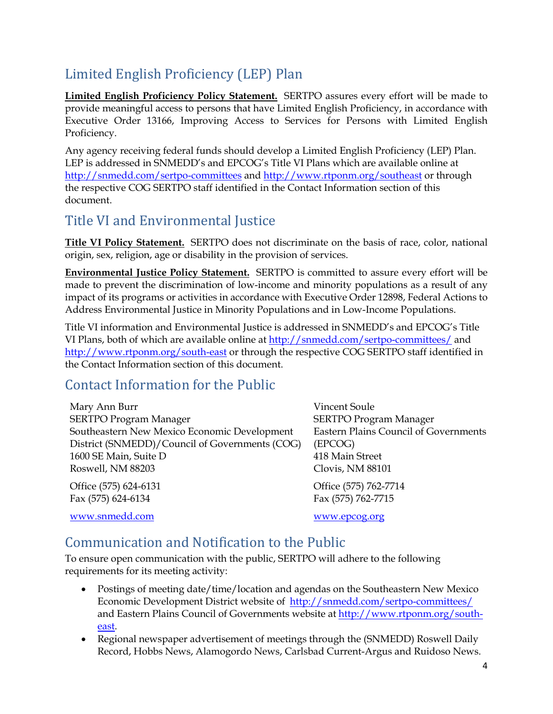### <span id="page-5-0"></span>Limited English Proficiency (LEP) Plan

**Limited English Proficiency Policy Statement.** SERTPO assures every effort will be made to provide meaningful access to persons that have Limited English Proficiency, in accordance with Executive Order 13166, Improving Access to Services for Persons with Limited English Proficiency.

Any agency receiving federal funds should develop a Limited English Proficiency (LEP) Plan. LEP is addressed in SNMEDD's and EPCOG's Title VI Plans which are available online at <http://snmedd.com/sertpo-committees> and<http://www.rtponm.org/southeast> or through the respective COG SERTPO staff identified in the Contact Information section of this document.

#### <span id="page-5-1"></span>Title VI and Environmental Justice

**Title VI Policy Statement.** SERTPO does not discriminate on the basis of race, color, national origin, sex, religion, age or disability in the provision of services.

**Environmental Justice Policy Statement.** SERTPO is committed to assure every effort will be made to prevent the discrimination of low-income and minority populations as a result of any impact of its programs or activities in accordance with Executive Order 12898, Federal Actions to Address Environmental Justice in Minority Populations and in Low-Income Populations.

Title VI information and Environmental Justice is addressed in SNMEDD's and EPCOG's Title VI Plans, both of which are available online a[t http://snmedd.com/sertpo-committees/](http://snmedd.com/sertpo-committees/) and <http://www.rtponm.org/south-east> or through the respective COG SERTPO staff identified in the Contact Information section of this document.

#### <span id="page-5-2"></span>Contact Information for the Public

Mary Ann Burr SERTPO Program Manager Southeastern New Mexico Economic Development District (SNMEDD)/Council of Governments (COG) 1600 SE Main, Suite D Roswell, NM 88203

Office (575) 624-6131 Fax (575) 624-6134

[www.snmedd.com](http://www.snmedd.com/)

Vincent Soule SERTPO Program Manager Eastern Plains Council of Governments (EPCOG) 418 Main Street Clovis, NM 88101

Office (575) 762-7714 Fax (575) 762-7715

[www.epcog.org](http://www.epcog.org/)

#### <span id="page-5-3"></span>Communication and Notification to the Public

To ensure open communication with the public, SERTPO will adhere to the following requirements for its meeting activity:

- Postings of meeting date/time/location and agendas on the Southeastern New Mexico Economic Development District website of <http://snmedd.com/sertpo-committees/> and Eastern Plains Council of Governments website at [http://www.rtponm.org/south](http://www.rtponm.org/south-east)[east.](http://www.rtponm.org/south-east)
- Regional newspaper advertisement of meetings through the (SNMEDD) Roswell Daily Record, Hobbs News, Alamogordo News, Carlsbad Current-Argus and Ruidoso News.